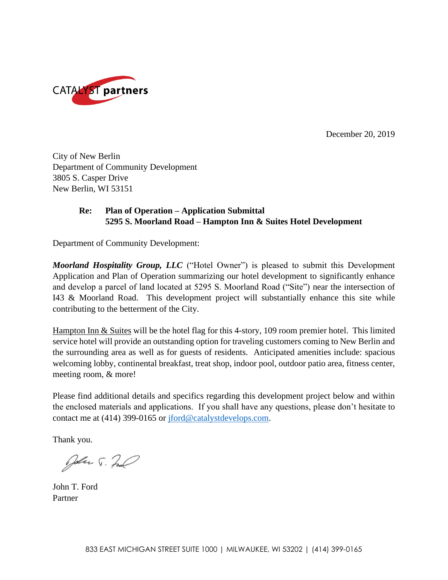

December 20, 2019

City of New Berlin Department of Community Development 3805 S. Casper Drive New Berlin, WI 53151

## **Re: Plan of Operation – Application Submittal 5295 S. Moorland Road – Hampton Inn & Suites Hotel Development**

Department of Community Development:

*Moorland Hospitality Group, LLC* ("Hotel Owner") is pleased to submit this Development Application and Plan of Operation summarizing our hotel development to significantly enhance and develop a parcel of land located at 5295 S. Moorland Road ("Site") near the intersection of I43 & Moorland Road. This development project will substantially enhance this site while contributing to the betterment of the City.

Hampton Inn & Suites will be the hotel flag for this 4-story, 109 room premier hotel. This limited service hotel will provide an outstanding option for traveling customers coming to New Berlin and the surrounding area as well as for guests of residents. Anticipated amenities include: spacious welcoming lobby, continental breakfast, treat shop, indoor pool, outdoor patio area, fitness center, meeting room, & more!

Please find additional details and specifics regarding this development project below and within the enclosed materials and applications. If you shall have any questions, please don't hesitate to contact me at (414) 399-0165 or [jford@catalystdevelops.com.](mailto:jford@catalystdevelops.com)

Thank you.

John J. Za

John T. Ford Partner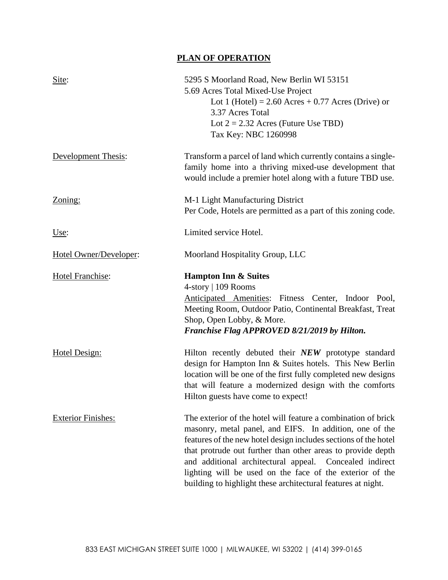## **PLAN OF OPERATION**

| Site:                     | 5295 S Moorland Road, New Berlin WI 53151<br>5.69 Acres Total Mixed-Use Project<br>Lot 1 (Hotel) = $2.60$ Acres + 0.77 Acres (Drive) or<br>3.37 Acres Total<br>Lot $2 = 2.32$ Acres (Future Use TBD)<br>Tax Key: NBC 1260998                                                                                                                                                                                                                      |
|---------------------------|---------------------------------------------------------------------------------------------------------------------------------------------------------------------------------------------------------------------------------------------------------------------------------------------------------------------------------------------------------------------------------------------------------------------------------------------------|
| Development Thesis:       | Transform a parcel of land which currently contains a single-<br>family home into a thriving mixed-use development that<br>would include a premier hotel along with a future TBD use.                                                                                                                                                                                                                                                             |
| Zoning:                   | M-1 Light Manufacturing District<br>Per Code, Hotels are permitted as a part of this zoning code.                                                                                                                                                                                                                                                                                                                                                 |
| Use:                      | Limited service Hotel.                                                                                                                                                                                                                                                                                                                                                                                                                            |
| Hotel Owner/Developer:    | Moorland Hospitality Group, LLC                                                                                                                                                                                                                                                                                                                                                                                                                   |
| <b>Hotel Franchise:</b>   | <b>Hampton Inn &amp; Suites</b><br>4-story   109 Rooms<br>Anticipated Amenities: Fitness Center, Indoor Pool,<br>Meeting Room, Outdoor Patio, Continental Breakfast, Treat<br>Shop, Open Lobby, & More.<br>Franchise Flag APPROVED 8/21/2019 by Hilton.                                                                                                                                                                                           |
| Hotel Design:             | Hilton recently debuted their NEW prototype standard<br>design for Hampton Inn & Suites hotels. This New Berlin<br>location will be one of the first fully completed new designs<br>that will feature a modernized design with the comforts<br>Hilton guests have come to expect!                                                                                                                                                                 |
| <b>Exterior Finishes:</b> | The exterior of the hotel will feature a combination of brick<br>masonry, metal panel, and EIFS. In addition, one of the<br>features of the new hotel design includes sections of the hotel<br>that protrude out further than other areas to provide depth<br>and additional architectural appeal. Concealed indirect<br>lighting will be used on the face of the exterior of the<br>building to highlight these architectural features at night. |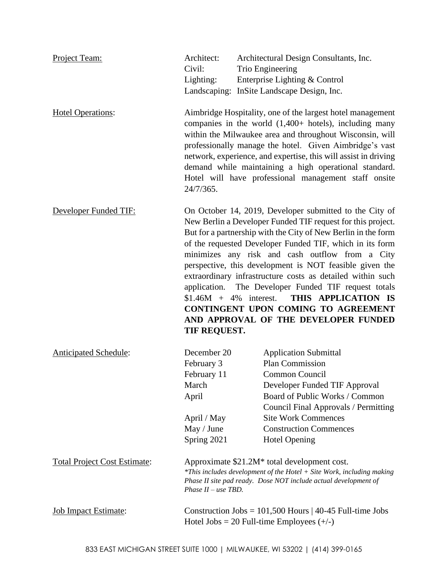| Project Team:                       | Architect:<br>Civil:<br>Lighting:                                                                                                                                                                                 | Architectural Design Consultants, Inc.<br>Trio Engineering<br>Enterprise Lighting & Control<br>Landscaping: InSite Landscape Design, Inc.                                                                                                                                                                                                                                                                                                                                                                                                                                                     |
|-------------------------------------|-------------------------------------------------------------------------------------------------------------------------------------------------------------------------------------------------------------------|-----------------------------------------------------------------------------------------------------------------------------------------------------------------------------------------------------------------------------------------------------------------------------------------------------------------------------------------------------------------------------------------------------------------------------------------------------------------------------------------------------------------------------------------------------------------------------------------------|
| <b>Hotel Operations:</b>            | 24/7/365.                                                                                                                                                                                                         | Aimbridge Hospitality, one of the largest hotel management<br>companies in the world $(1,400+$ hotels), including many<br>within the Milwaukee area and throughout Wisconsin, will<br>professionally manage the hotel. Given Aimbridge's vast<br>network, experience, and expertise, this will assist in driving<br>demand while maintaining a high operational standard.<br>Hotel will have professional management staff onsite                                                                                                                                                             |
| Developer Funded TIF:               | $$1.46M + 4\%$ interest.<br>TIF REQUEST.                                                                                                                                                                          | On October 14, 2019, Developer submitted to the City of<br>New Berlin a Developer Funded TIF request for this project.<br>But for a partnership with the City of New Berlin in the form<br>of the requested Developer Funded TIF, which in its form<br>minimizes any risk and cash outflow from a City<br>perspective, this development is NOT feasible given the<br>extraordinary infrastructure costs as detailed within such<br>application. The Developer Funded TIF request totals<br>THIS APPLICATION IS<br>CONTINGENT UPON COMING TO AGREEMENT<br>AND APPROVAL OF THE DEVELOPER FUNDED |
| <b>Anticipated Schedule:</b>        | December 20<br>February 3<br>February 11<br>March<br>April<br>April / May<br>May / June<br>Spring 2021                                                                                                            | <b>Application Submittal</b><br>Plan Commission<br>Common Council<br>Developer Funded TIF Approval<br>Board of Public Works / Common<br>Council Final Approvals / Permitting<br><b>Site Work Commences</b><br><b>Construction Commences</b><br><b>Hotel Opening</b>                                                                                                                                                                                                                                                                                                                           |
| <b>Total Project Cost Estimate:</b> | Approximate \$21.2M* total development cost.<br>*This includes development of the Hotel + Site Work, including making<br>Phase II site pad ready. Dose NOT include actual development of<br>Phase $II -$ use TBD. |                                                                                                                                                                                                                                                                                                                                                                                                                                                                                                                                                                                               |
| <b>Job Impact Estimate:</b>         |                                                                                                                                                                                                                   | Construction Jobs = $101,500$ Hours   40-45 Full-time Jobs<br>Hotel Jobs = 20 Full-time Employees $(+/-)$                                                                                                                                                                                                                                                                                                                                                                                                                                                                                     |